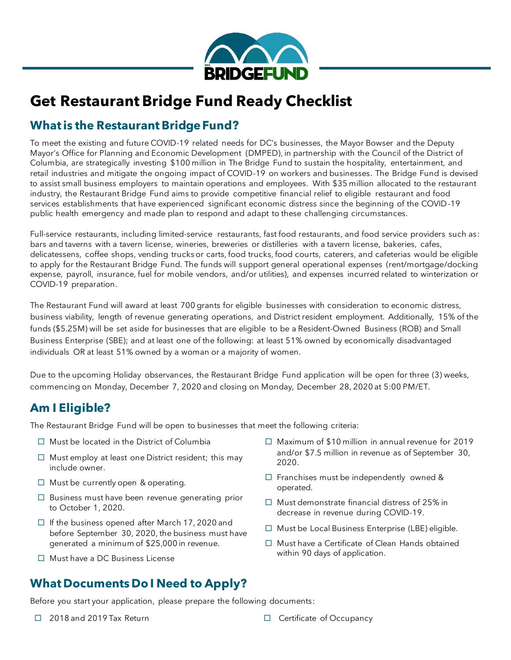

# **Get Restaurant Bridge Fund Ready Checklist**

## **What is the Restaurant Bridge Fund?**

To meet the existing and future COVID-19 related needs for DC's businesses, the Mayor Bowser and the Deputy Mayor's Office for Planning and Economic Development (DMPED), in partnership with the Council of the District of Columbia, are strategically investing \$100 million in The Bridge Fund to sustain the hospitality, entertainment, and retail industries and mitigate the ongoing impact of COVID-19 on workers and businesses. The Bridge Fund is devised to assist small business employers to maintain operations and employees. With \$35 million allocated to the restaurant industry, the Restaurant Bridge Fund aims to provide competitive financial relief to eligible restaurant and food services establishments that have experienced significant economic distress since the beginning of the COVID-19 public health emergency and made plan to respond and adapt to these challenging circumstances.

Full-service restaurants, including limited-service restaurants, fast food restaurants, and food service providers such as: bars and taverns with a tavern license, wineries, breweries or distilleries with a tavern license, bakeries, cafes, delicatessens, coffee shops, vending trucks or carts, food trucks, food courts, caterers, and cafeterias would be eligible to apply for the Restaurant Bridge Fund. The funds will support general operational expenses (rent/mortgage/docking expense, payroll, insurance, fuel for mobile vendors, and/or utilities), and expenses incurred related to winterization or COVID-19 preparation.

The Restaurant Fund will award at least 700 grants for eligible businesses with consideration to economic distress, business viability, length of revenue generating operations, and District resident employment. Additionally, 15% of the funds (\$5.25M) will be set aside for businesses that are eligible to be a Resident-Owned Business (ROB) and Small Business Enterprise (SBE); and at least one of the following: at least 51% owned by economically disadvantaged individuals OR at least 51% owned by a woman or a majority of women.

Due to the upcoming Holiday observances, the Restaurant Bridge Fund application will be open for three (3) weeks, commencing on Monday, December 7, 2020 and closing on Monday, December 28, 2020 at 5:00 PM/ET.

### **Am I Eligible?**

The Restaurant Bridge Fund will be open to businesses that meet the following criteria:

- $\Box$  Must be located in the District of Columbia
- $\Box$  Must employ at least one District resident; this may include owner.
- $\Box$  Must be currently open & operating.
- $\Box$  Business must have been revenue generating prior to October 1, 2020.
- $\Box$  If the business opened after March 17, 2020 and before September 30, 2020, the business must have generated a minimum of \$25,000 in revenue.
- $\Box$  Must have a DC Business License
- $\Box$  Maximum of \$10 million in annual revenue for 2019 and/or \$7.5 million in revenue as of September 30, 2020.
- $\Box$  Franchises must be independently owned & operated.
- $\Box$  Must demonstrate financial distress of 25% in decrease in revenue during COVID-19.
- $\Box$  Must be Local Business Enterprise (LBE) eligible.
- $\Box$  Must have a Certificate of Clean Hands obtained within 90 days of application.

### **What Documents Do I Need to Apply?**

Before you start your application, please prepare the following documents:

- □ 2018 and 2019 Tax Return Certificate of Occupancy
-